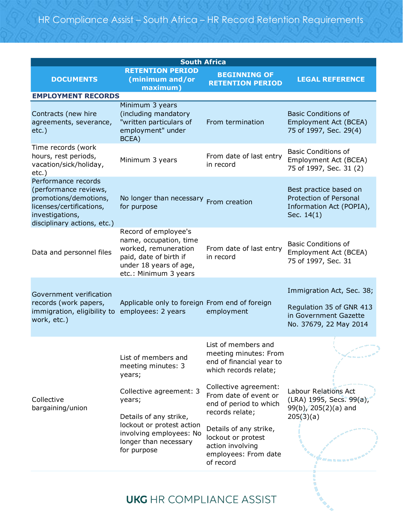| <b>South Africa</b>                                                                                                                                 |                                                                                                                                                                                                                    |                                                                                                                                                                                                                                                                                              |                                                                                                          |  |  |  |
|-----------------------------------------------------------------------------------------------------------------------------------------------------|--------------------------------------------------------------------------------------------------------------------------------------------------------------------------------------------------------------------|----------------------------------------------------------------------------------------------------------------------------------------------------------------------------------------------------------------------------------------------------------------------------------------------|----------------------------------------------------------------------------------------------------------|--|--|--|
| <b>DOCUMENTS</b>                                                                                                                                    | <b>RETENTION PERIOD</b><br>(minimum and/or<br>maximum)                                                                                                                                                             | <b>BEGINNING OF</b><br><b>RETENTION PERIOD</b>                                                                                                                                                                                                                                               | <b>LEGAL REFERENCE</b>                                                                                   |  |  |  |
| <b>EMPLOYMENT RECORDS</b>                                                                                                                           |                                                                                                                                                                                                                    |                                                                                                                                                                                                                                                                                              |                                                                                                          |  |  |  |
| Contracts (new hire<br>agreements, severance,<br>$etc.$ )                                                                                           | Minimum 3 years<br>(including mandatory<br>"written particulars of<br>employment" under<br>BCEA)                                                                                                                   | From termination                                                                                                                                                                                                                                                                             | <b>Basic Conditions of</b><br>Employment Act (BCEA)<br>75 of 1997, Sec. 29(4)                            |  |  |  |
| Time records (work<br>hours, rest periods,<br>vacation/sick/holiday,<br>$etc.$ )                                                                    | Minimum 3 years                                                                                                                                                                                                    | From date of last entry<br>in record                                                                                                                                                                                                                                                         | <b>Basic Conditions of</b><br>Employment Act (BCEA)<br>75 of 1997, Sec. 31 (2)                           |  |  |  |
| Performance records<br>(performance reviews,<br>promotions/demotions,<br>licenses/certifications,<br>investigations,<br>disciplinary actions, etc.) | No longer than necessary From creation<br>for purpose                                                                                                                                                              |                                                                                                                                                                                                                                                                                              | Best practice based on<br><b>Protection of Personal</b><br>Information Act (POPIA),<br>Sec. 14(1)        |  |  |  |
| Data and personnel files                                                                                                                            | Record of employee's<br>name, occupation, time<br>worked, remuneration<br>paid, date of birth if<br>under 18 years of age,<br>etc.: Minimum 3 years                                                                | From date of last entry<br>in record                                                                                                                                                                                                                                                         | <b>Basic Conditions of</b><br>Employment Act (BCEA)<br>75 of 1997, Sec. 31                               |  |  |  |
| Government verification<br>records (work papers,<br>immigration, eligibility to<br>work, etc.)                                                      | Applicable only to foreign From end of foreign<br>employees: 2 years                                                                                                                                               | employment                                                                                                                                                                                                                                                                                   | Immigration Act, Sec. 38;<br>Regulation 35 of GNR 413<br>in Government Gazette<br>No. 37679, 22 May 2014 |  |  |  |
| Collective<br>bargaining/union                                                                                                                      | List of members and<br>meeting minutes: 3<br>years;<br>Collective agreement: 3<br>years;<br>Details of any strike,<br>lockout or protest action<br>involving employees: No<br>longer than necessary<br>for purpose | List of members and<br>meeting minutes: From<br>end of financial year to<br>which records relate;<br>Collective agreement:<br>From date of event or<br>end of period to which<br>records relate;<br>Details of any strike,<br>lockout or protest<br>action involving<br>employees: From date | Labour Relations Act<br>(LRA) 1995, Secs. 99(a),<br>$99(b)$ , 205(2)(a) and<br>205(3)(a)                 |  |  |  |
|                                                                                                                                                     |                                                                                                                                                                                                                    |                                                                                                                                                                                                                                                                                              |                                                                                                          |  |  |  |

## **UKG** HR COMPLIANCE ASSIST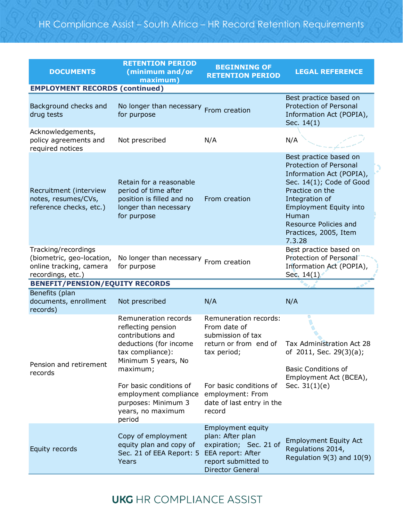| <b>DOCUMENTS</b>                                                                                 | <b>RETENTION PERIOD</b><br>(minimum and/or<br>maximum)                                                                                                                                               | <b>BEGINNING OF</b><br><b>RETENTION PERIOD</b>                                                                                                    | <b>LEGAL REFERENCE</b>                                                                                                                                                                                                                                     |
|--------------------------------------------------------------------------------------------------|------------------------------------------------------------------------------------------------------------------------------------------------------------------------------------------------------|---------------------------------------------------------------------------------------------------------------------------------------------------|------------------------------------------------------------------------------------------------------------------------------------------------------------------------------------------------------------------------------------------------------------|
| <b>EMPLOYMENT RECORDS (continued)</b>                                                            |                                                                                                                                                                                                      |                                                                                                                                                   |                                                                                                                                                                                                                                                            |
| Background checks and<br>drug tests                                                              | No longer than necessary From creation<br>for purpose                                                                                                                                                |                                                                                                                                                   | Best practice based on<br><b>Protection of Personal</b><br>Information Act (POPIA),<br>Sec. 14(1)                                                                                                                                                          |
| Acknowledgements,<br>policy agreements and<br>required notices                                   | Not prescribed                                                                                                                                                                                       | N/A                                                                                                                                               | N/A                                                                                                                                                                                                                                                        |
| Recruitment (interview<br>notes, resumes/CVs,<br>reference checks, etc.)                         | Retain for a reasonable<br>period of time after<br>position is filled and no<br>longer than necessary<br>for purpose                                                                                 | From creation                                                                                                                                     | Best practice based on<br><b>Protection of Personal</b><br>Information Act (POPIA),<br>Sec. 14(1); Code of Good<br>Practice on the<br>Integration of<br><b>Employment Equity into</b><br>Human<br>Resource Policies and<br>Practices, 2005, Item<br>7.3.28 |
| Tracking/recordings<br>(biometric, geo-location,<br>online tracking, camera<br>recordings, etc.) | No longer than necessary From creation<br>for purpose                                                                                                                                                |                                                                                                                                                   | Best practice based on<br>Protection of Personal<br>Information Act (POPIA),<br>Sec. $14(1)$                                                                                                                                                               |
| <b>BENEFIT/PENSION/EQUITY RECORDS</b>                                                            |                                                                                                                                                                                                      |                                                                                                                                                   |                                                                                                                                                                                                                                                            |
| Benefits (plan<br>documents, enrollment<br>records)                                              | Not prescribed                                                                                                                                                                                       | N/A                                                                                                                                               | N/A                                                                                                                                                                                                                                                        |
| Pension and retirement<br>records                                                                | Remuneration records<br>reflecting pension<br>contributions and<br>deductions (for income<br>tax compliance):<br>Minimum 5 years, No<br>maximum;<br>For basic conditions of<br>employment compliance | Remuneration records:<br>From date of<br>submission of tax<br>return or from end of<br>tax period;<br>For basic conditions of<br>employment: From | Tax Administration Act 28<br>of 2011, Sec. 29(3)(a);<br><b>Basic Conditions of</b><br>Employment Act (BCEA),<br>Sec. $31(1)(e)$                                                                                                                            |
|                                                                                                  | purposes: Minimum 3<br>years, no maximum<br>period                                                                                                                                                   | date of last entry in the<br>record                                                                                                               |                                                                                                                                                                                                                                                            |
| Equity records                                                                                   | Copy of employment<br>equity plan and copy of<br>Sec. 21 of EEA Report: 5<br>Years                                                                                                                   | <b>Employment equity</b><br>plan: After plan<br>expiration; Sec. 21 of<br>EEA report: After<br>report submitted to<br><b>Director General</b>     | <b>Employment Equity Act</b><br>Regulations 2014,<br>Regulation $9(3)$ and $10(9)$                                                                                                                                                                         |

## **UKG** HR COMPLIANCE ASSIST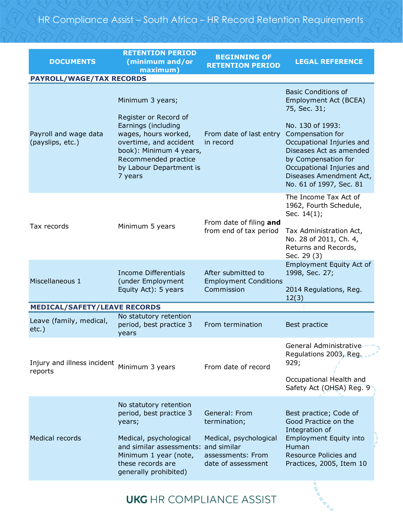| <b>DOCUMENTS</b>                          | <b>RETENTION PERIOD</b><br>(minimum and/or<br>maximum)                                                                                                                                                      | <b>BEGINNING OF</b><br><b>RETENTION PERIOD</b>                    | <b>LEGAL REFERENCE</b>                                                                                                                                                                                 |  |  |
|-------------------------------------------|-------------------------------------------------------------------------------------------------------------------------------------------------------------------------------------------------------------|-------------------------------------------------------------------|--------------------------------------------------------------------------------------------------------------------------------------------------------------------------------------------------------|--|--|
| <b>PAYROLL/WAGE/TAX RECORDS</b>           |                                                                                                                                                                                                             |                                                                   |                                                                                                                                                                                                        |  |  |
| Payroll and wage data<br>(payslips, etc.) | Minimum 3 years;<br>Register or Record of<br>Earnings (including<br>wages, hours worked,<br>overtime, and accident<br>book): Minimum 4 years,<br>Recommended practice<br>by Labour Department is<br>7 years | From date of last entry<br>in record                              | <b>Basic Conditions of</b><br>Employment Act (BCEA)<br>75, Sec. 31;                                                                                                                                    |  |  |
|                                           |                                                                                                                                                                                                             |                                                                   | No. 130 of 1993:<br>Compensation for<br>Occupational Injuries and<br>Diseases Act as amended<br>by Compensation for<br>Occupational Injuries and<br>Diseases Amendment Act,<br>No. 61 of 1997, Sec. 81 |  |  |
| Tax records                               | Minimum 5 years                                                                                                                                                                                             | From date of filing and<br>from end of tax period                 | The Income Tax Act of<br>1962, Fourth Schedule,<br>Sec. 14(1);<br>Tax Administration Act,<br>No. 28 of 2011, Ch. 4,<br>Returns and Records,<br>Sec. 29 (3)                                             |  |  |
| Miscellaneous 1                           | Income Differentials<br>(under Employment<br>Equity Act): 5 years                                                                                                                                           | After submitted to<br><b>Employment Conditions</b><br>Commission  | Employment Equity Act of<br>1998, Sec. 27;<br>2014 Regulations, Reg.<br>12(3)                                                                                                                          |  |  |
| <b>MEDICAL/SAFETY/LEAVE RECORDS</b>       |                                                                                                                                                                                                             |                                                                   |                                                                                                                                                                                                        |  |  |
| Leave (family, medical,<br>$etc.$ )       | No statutory retention<br>period, best practice 3<br>years                                                                                                                                                  | From termination                                                  | Best practice                                                                                                                                                                                          |  |  |
| Injury and illness incident<br>reports    | Minimum 3 years                                                                                                                                                                                             | From date of record                                               | General Administrative<br>Regulations 2003, Reg.<br>929;                                                                                                                                               |  |  |
|                                           |                                                                                                                                                                                                             |                                                                   | Occupational Health and<br>Safety Act (OHSA) Reg. 9                                                                                                                                                    |  |  |
|                                           | No statutory retention                                                                                                                                                                                      |                                                                   |                                                                                                                                                                                                        |  |  |
| <b>Medical records</b>                    | period, best practice 3<br>years;                                                                                                                                                                           | General: From<br>termination;                                     | Best practice; Code of<br>Good Practice on the<br>Integration of                                                                                                                                       |  |  |
|                                           | Medical, psychological<br>and similar assessments: and similar<br>Minimum 1 year (note,<br>these records are<br>generally prohibited)                                                                       | Medical, psychological<br>assessments: From<br>date of assessment | <b>Employment Equity into</b><br>Human<br>Resource Policies and<br>Practices, 2005, Item 10                                                                                                            |  |  |

**UKG** HR COMPLIANCE ASSIST

I